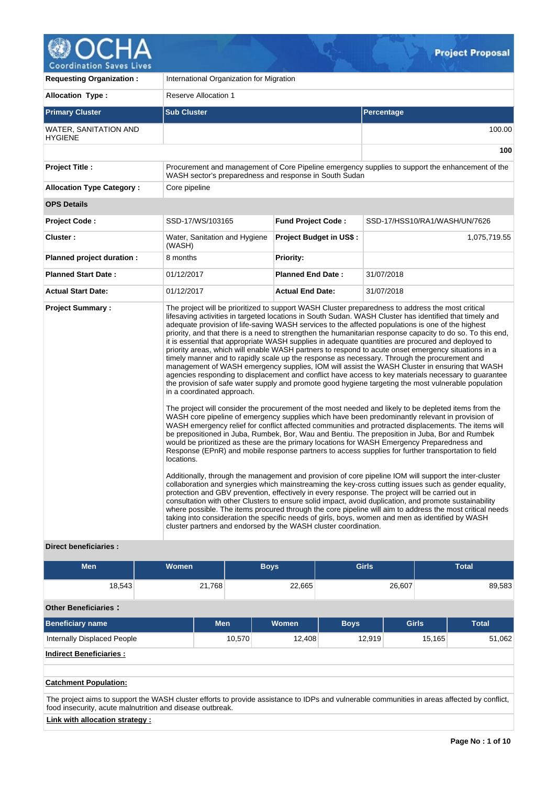

| <b>Requesting Organization:</b>         | International Organization for Migration                                                                    |                                |                                                                                                                                                                                                                                                                                                                                                                                                                                                                                                                                                                                                                                                                                                                                                                                                                                                                                                                                                                                                                                                                                                                                                                                                                                                                                                                                                                                                                                                                                                                                                                                                                                                                                                                                                                                                                                                                                                                                                                                                                                                                                                                                                                                                                                                                                                                                            |  |  |  |  |  |  |  |  |
|-----------------------------------------|-------------------------------------------------------------------------------------------------------------|--------------------------------|--------------------------------------------------------------------------------------------------------------------------------------------------------------------------------------------------------------------------------------------------------------------------------------------------------------------------------------------------------------------------------------------------------------------------------------------------------------------------------------------------------------------------------------------------------------------------------------------------------------------------------------------------------------------------------------------------------------------------------------------------------------------------------------------------------------------------------------------------------------------------------------------------------------------------------------------------------------------------------------------------------------------------------------------------------------------------------------------------------------------------------------------------------------------------------------------------------------------------------------------------------------------------------------------------------------------------------------------------------------------------------------------------------------------------------------------------------------------------------------------------------------------------------------------------------------------------------------------------------------------------------------------------------------------------------------------------------------------------------------------------------------------------------------------------------------------------------------------------------------------------------------------------------------------------------------------------------------------------------------------------------------------------------------------------------------------------------------------------------------------------------------------------------------------------------------------------------------------------------------------------------------------------------------------------------------------------------------------|--|--|--|--|--|--|--|--|
| <b>Allocation Type:</b>                 | <b>Reserve Allocation 1</b>                                                                                 |                                |                                                                                                                                                                                                                                                                                                                                                                                                                                                                                                                                                                                                                                                                                                                                                                                                                                                                                                                                                                                                                                                                                                                                                                                                                                                                                                                                                                                                                                                                                                                                                                                                                                                                                                                                                                                                                                                                                                                                                                                                                                                                                                                                                                                                                                                                                                                                            |  |  |  |  |  |  |  |  |
| <b>Primary Cluster</b>                  | <b>Sub Cluster</b>                                                                                          |                                | <b>Percentage</b>                                                                                                                                                                                                                                                                                                                                                                                                                                                                                                                                                                                                                                                                                                                                                                                                                                                                                                                                                                                                                                                                                                                                                                                                                                                                                                                                                                                                                                                                                                                                                                                                                                                                                                                                                                                                                                                                                                                                                                                                                                                                                                                                                                                                                                                                                                                          |  |  |  |  |  |  |  |  |
| WATER, SANITATION AND<br><b>HYGIENE</b> |                                                                                                             |                                | 100.00                                                                                                                                                                                                                                                                                                                                                                                                                                                                                                                                                                                                                                                                                                                                                                                                                                                                                                                                                                                                                                                                                                                                                                                                                                                                                                                                                                                                                                                                                                                                                                                                                                                                                                                                                                                                                                                                                                                                                                                                                                                                                                                                                                                                                                                                                                                                     |  |  |  |  |  |  |  |  |
|                                         |                                                                                                             |                                | 100                                                                                                                                                                                                                                                                                                                                                                                                                                                                                                                                                                                                                                                                                                                                                                                                                                                                                                                                                                                                                                                                                                                                                                                                                                                                                                                                                                                                                                                                                                                                                                                                                                                                                                                                                                                                                                                                                                                                                                                                                                                                                                                                                                                                                                                                                                                                        |  |  |  |  |  |  |  |  |
| <b>Project Title:</b>                   | WASH sector's preparedness and response in South Sudan                                                      |                                | Procurement and management of Core Pipeline emergency supplies to support the enhancement of the                                                                                                                                                                                                                                                                                                                                                                                                                                                                                                                                                                                                                                                                                                                                                                                                                                                                                                                                                                                                                                                                                                                                                                                                                                                                                                                                                                                                                                                                                                                                                                                                                                                                                                                                                                                                                                                                                                                                                                                                                                                                                                                                                                                                                                           |  |  |  |  |  |  |  |  |
| <b>Allocation Type Category:</b>        | Core pipeline                                                                                               |                                |                                                                                                                                                                                                                                                                                                                                                                                                                                                                                                                                                                                                                                                                                                                                                                                                                                                                                                                                                                                                                                                                                                                                                                                                                                                                                                                                                                                                                                                                                                                                                                                                                                                                                                                                                                                                                                                                                                                                                                                                                                                                                                                                                                                                                                                                                                                                            |  |  |  |  |  |  |  |  |
| <b>OPS Details</b>                      |                                                                                                             |                                |                                                                                                                                                                                                                                                                                                                                                                                                                                                                                                                                                                                                                                                                                                                                                                                                                                                                                                                                                                                                                                                                                                                                                                                                                                                                                                                                                                                                                                                                                                                                                                                                                                                                                                                                                                                                                                                                                                                                                                                                                                                                                                                                                                                                                                                                                                                                            |  |  |  |  |  |  |  |  |
| <b>Project Code:</b>                    | SSD-17/WS/103165                                                                                            | <b>Fund Project Code:</b>      | SSD-17/HSS10/RA1/WASH/UN/7626                                                                                                                                                                                                                                                                                                                                                                                                                                                                                                                                                                                                                                                                                                                                                                                                                                                                                                                                                                                                                                                                                                                                                                                                                                                                                                                                                                                                                                                                                                                                                                                                                                                                                                                                                                                                                                                                                                                                                                                                                                                                                                                                                                                                                                                                                                              |  |  |  |  |  |  |  |  |
| Cluster:                                | Water, Sanitation and Hygiene<br>(WASH)                                                                     | <b>Project Budget in US\$:</b> | 1,075,719.55                                                                                                                                                                                                                                                                                                                                                                                                                                                                                                                                                                                                                                                                                                                                                                                                                                                                                                                                                                                                                                                                                                                                                                                                                                                                                                                                                                                                                                                                                                                                                                                                                                                                                                                                                                                                                                                                                                                                                                                                                                                                                                                                                                                                                                                                                                                               |  |  |  |  |  |  |  |  |
| Planned project duration :              | 8 months                                                                                                    | <b>Priority:</b>               |                                                                                                                                                                                                                                                                                                                                                                                                                                                                                                                                                                                                                                                                                                                                                                                                                                                                                                                                                                                                                                                                                                                                                                                                                                                                                                                                                                                                                                                                                                                                                                                                                                                                                                                                                                                                                                                                                                                                                                                                                                                                                                                                                                                                                                                                                                                                            |  |  |  |  |  |  |  |  |
| <b>Planned Start Date:</b>              | 01/12/2017                                                                                                  | <b>Planned End Date:</b>       | 31/07/2018                                                                                                                                                                                                                                                                                                                                                                                                                                                                                                                                                                                                                                                                                                                                                                                                                                                                                                                                                                                                                                                                                                                                                                                                                                                                                                                                                                                                                                                                                                                                                                                                                                                                                                                                                                                                                                                                                                                                                                                                                                                                                                                                                                                                                                                                                                                                 |  |  |  |  |  |  |  |  |
| <b>Actual Start Date:</b>               | 01/12/2017                                                                                                  | <b>Actual End Date:</b>        | 31/07/2018                                                                                                                                                                                                                                                                                                                                                                                                                                                                                                                                                                                                                                                                                                                                                                                                                                                                                                                                                                                                                                                                                                                                                                                                                                                                                                                                                                                                                                                                                                                                                                                                                                                                                                                                                                                                                                                                                                                                                                                                                                                                                                                                                                                                                                                                                                                                 |  |  |  |  |  |  |  |  |
| <b>Project Summary:</b>                 | in a coordinated approach.<br>locations.<br>cluster partners and endorsed by the WASH cluster coordination. |                                | The project will be prioritized to support WASH Cluster preparedness to address the most critical<br>lifesaving activities in targeted locations in South Sudan. WASH Cluster has identified that timely and<br>adequate provision of life-saving WASH services to the affected populations is one of the highest<br>priority, and that there is a need to strengthen the humanitarian response capacity to do so. To this end,<br>it is essential that appropriate WASH supplies in adequate quantities are procured and deployed to<br>priority areas, which will enable WASH partners to respond to acute onset emergency situations in a<br>timely manner and to rapidly scale up the response as necessary. Through the procurement and<br>management of WASH emergency supplies, IOM will assist the WASH Cluster in ensuring that WASH<br>agencies responding to displacement and conflict have access to key materials necessary to quarantee<br>the provision of safe water supply and promote good hygiene targeting the most vulnerable population<br>The project will consider the procurement of the most needed and likely to be depleted items from the<br>WASH core pipeline of emergency supplies which have been predominantly relevant in provision of<br>WASH emergency relief for conflict affected communities and protracted displacements. The items will<br>be prepositioned in Juba, Rumbek, Bor, Wau and Bentiu. The preposition in Juba, Bor and Rumbek<br>would be prioritized as these are the primary locations for WASH Emergency Preparedness and<br>Response (EPnR) and mobile response partners to access supplies for further transportation to field<br>Additionally, through the management and provision of core pipeline IOM will support the inter-cluster<br>collaboration and synergies which mainstreaming the key-cross cutting issues such as gender equality,<br>protection and GBV prevention, effectively in every response. The project will be carried out in<br>consultation with other Clusters to ensure solid impact, avoid duplication, and promote sustainability<br>where possible. The items procured through the core pipeline will aim to address the most critical needs<br>taking into consideration the specific needs of girls, boys, women and men as identified by WASH |  |  |  |  |  |  |  |  |

# **Direct beneficiaries :**

| <b>Men</b>                  | <b>Women</b> |            | <b>Boys</b> | <b>Girls</b> |              | <b>Total</b> |  |  |  |  |  |  |
|-----------------------------|--------------|------------|-------------|--------------|--------------|--------------|--|--|--|--|--|--|
| 18,543                      |              | 21,768     | 22,665      |              | 26,607       | 89,583       |  |  |  |  |  |  |
| <b>Other Beneficiaries:</b> |              |            |             |              |              |              |  |  |  |  |  |  |
| <b>Beneficiary name</b>     |              | <b>Men</b> | Women       | <b>Boys</b>  | <b>Girls</b> | <b>Total</b> |  |  |  |  |  |  |
| Internally Displaced People |              | 10,570     | 12,408      | 12,919       | 15,165       | 51,062       |  |  |  |  |  |  |

**Indirect Beneficiaries :**

#### **Catchment Population:**

The project aims to support the WASH cluster efforts to provide assistance to IDPs and vulnerable communities in areas affected by conflict, food insecurity, acute malnutrition and disease outbreak.

# **Link with allocation strategy :**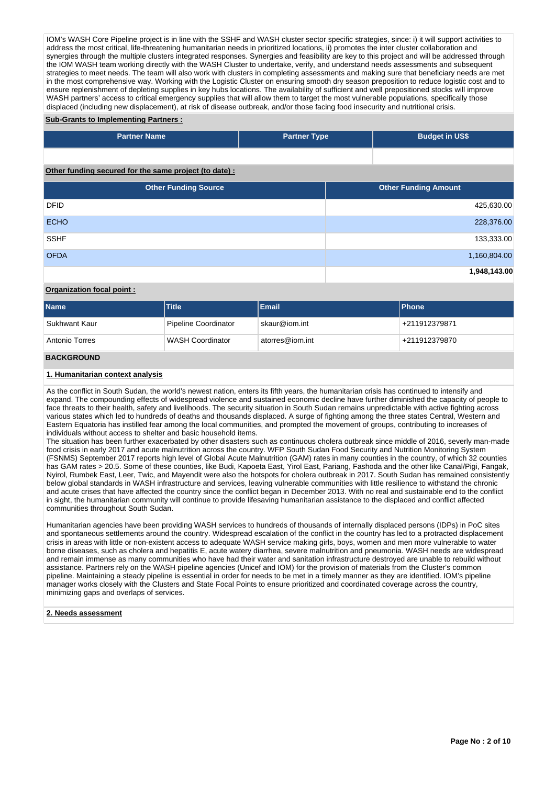IOM's WASH Core Pipeline project is in line with the SSHF and WASH cluster sector specific strategies, since: i) it will support activities to address the most critical, life-threatening humanitarian needs in prioritized locations, ii) promotes the inter cluster collaboration and synergies through the multiple clusters integrated responses. Synergies and feasibility are key to this project and will be addressed through the IOM WASH team working directly with the WASH Cluster to undertake, verify, and understand needs assessments and subsequent strategies to meet needs. The team will also work with clusters in completing assessments and making sure that beneficiary needs are met in the most comprehensive way. Working with the Logistic Cluster on ensuring smooth dry season preposition to reduce logistic cost and to ensure replenishment of depleting supplies in key hubs locations. The availability of sufficient and well prepositioned stocks will improve WASH partners' access to critical emergency supplies that will allow them to target the most vulnerable populations, specifically those displaced (including new displacement), at risk of disease outbreak, and/or those facing food insecurity and nutritional crisis.

#### **Sub-Grants to Implementing Partners :**

| <b>Partner Name</b>                                   | <b>Partner Type</b> |  | <b>Budget in US\$</b>       |              |
|-------------------------------------------------------|---------------------|--|-----------------------------|--------------|
|                                                       |                     |  |                             |              |
| Other funding secured for the same project (to date): |                     |  |                             |              |
| <b>Other Funding Source</b>                           |                     |  | <b>Other Funding Amount</b> |              |
| <b>DFID</b>                                           |                     |  |                             | 425,630.00   |
| <b>ECHO</b>                                           |                     |  |                             | 228,376.00   |
| <b>SSHF</b>                                           |                     |  |                             | 133,333.00   |
| <b>OFDA</b>                                           |                     |  |                             | 1,160,804.00 |
|                                                       |                     |  |                             | 1,948,143.00 |

# **Organization focal point :**

| <b>Name</b>       | <b>Title</b>            | Email           | <b>Phone</b>  |
|-------------------|-------------------------|-----------------|---------------|
| Sukhwant Kaur     | Pipeline Coordinator    | skaur@iom.int   | +211912379871 |
| Antonio Torres    | <b>WASH Coordinator</b> | atorres@iom.int | +211912379870 |
| <b>BACKGROUND</b> |                         |                 |               |

### **1. Humanitarian context analysis**

As the conflict in South Sudan, the world's newest nation, enters its fifth years, the humanitarian crisis has continued to intensify and expand. The compounding effects of widespread violence and sustained economic decline have further diminished the capacity of people to face threats to their health, safety and livelihoods. The security situation in South Sudan remains unpredictable with active fighting across various states which led to hundreds of deaths and thousands displaced. A surge of fighting among the three states Central, Western and Eastern Equatoria has instilled fear among the local communities, and prompted the movement of groups, contributing to increases of individuals without access to shelter and basic household items.

The situation has been further exacerbated by other disasters such as continuous cholera outbreak since middle of 2016, severly man-made food crisis in early 2017 and acute malnutrition across the country. WFP South Sudan Food Security and Nutrition Monitoring System (FSNMS) September 2017 reports high level of Global Acute Malnutrition (GAM) rates in many counties in the country, of which 32 counties has GAM rates > 20.5. Some of these counties, like Budi, Kapoeta East, Yirol East, Pariang, Fashoda and the other like Canal/Pigi, Fangak, Nyirol, Rumbek East, Leer, Twic, and Mayendit were also the hotspots for cholera outbreak in 2017. South Sudan has remained consistently below global standards in WASH infrastructure and services, leaving vulnerable communities with little resilience to withstand the chronic and acute crises that have affected the country since the conflict began in December 2013. With no real and sustainable end to the conflict in sight, the humanitarian community will continue to provide lifesaving humanitarian assistance to the displaced and conflict affected communities throughout South Sudan.

Humanitarian agencies have been providing WASH services to hundreds of thousands of internally displaced persons (IDPs) in PoC sites and spontaneous settlements around the country. Widespread escalation of the conflict in the country has led to a protracted displacement crisis in areas with little or non-existent access to adequate WASH service making girls, boys, women and men more vulnerable to water borne diseases, such as cholera and hepatitis E, acute watery diarrhea, severe malnutrition and pneumonia. WASH needs are widespread and remain immense as many communities who have had their water and sanitation infrastructure destroyed are unable to rebuild without assistance. Partners rely on the WASH pipeline agencies (Unicef and IOM) for the provision of materials from the Cluster's common pipeline. Maintaining a steady pipeline is essential in order for needs to be met in a timely manner as they are identified. IOM's pipeline manager works closely with the Clusters and State Focal Points to ensure prioritized and coordinated coverage across the country, minimizing gaps and overlaps of services.

#### **2. Needs assessment**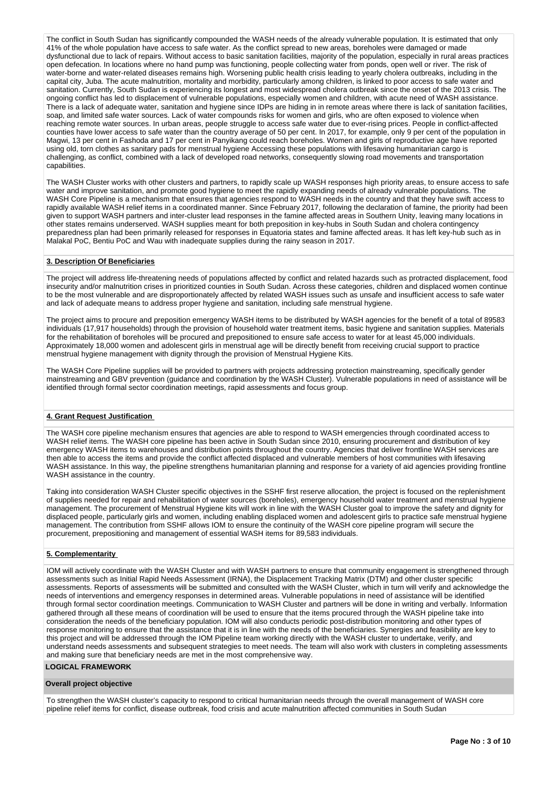The conflict in South Sudan has significantly compounded the WASH needs of the already vulnerable population. It is estimated that only 41% of the whole population have access to safe water. As the conflict spread to new areas, boreholes were damaged or made dysfunctional due to lack of repairs. Without access to basic sanitation facilities, majority of the population, especially in rural areas practices open defecation. In locations where no hand pump was functioning, people collecting water from ponds, open well or river. The risk of water-borne and water-related diseases remains high. Worsening public health crisis leading to yearly cholera outbreaks, including in the capital city, Juba. The acute malnutrition, mortality and morbidity, particularly among children, is linked to poor access to safe water and sanitation. Currently, South Sudan is experiencing its longest and most widespread cholera outbreak since the onset of the 2013 crisis. The ongoing conflict has led to displacement of vulnerable populations, especially women and children, with acute need of WASH assistance. There is a lack of adequate water, sanitation and hygiene since IDPs are hiding in in remote areas where there is lack of sanitation facilities, soap, and limited safe water sources. Lack of water compounds risks for women and girls, who are often exposed to violence when reaching remote water sources. In urban areas, people struggle to access safe water due to ever-rising prices. People in conflict-affected counties have lower access to safe water than the country average of 50 per cent. In 2017, for example, only 9 per cent of the population in Magwi, 13 per cent in Fashoda and 17 per cent in Panyikang could reach boreholes. Women and girls of reproductive age have reported using old, torn clothes as sanitary pads for menstrual hygiene Accessing these populations with lifesaving humanitarian cargo is challenging, as conflict, combined with a lack of developed road networks, consequently slowing road movements and transportation capabilities.

The WASH Cluster works with other clusters and partners, to rapidly scale up WASH responses high priority areas, to ensure access to safe water and improve sanitation, and promote good hygiene to meet the rapidly expanding needs of already vulnerable populations. The WASH Core Pipeline is a mechanism that ensures that agencies respond to WASH needs in the country and that they have swift access to rapidly available WASH relief items in a coordinated manner. Since February 2017, following the declaration of famine, the priority had been given to support WASH partners and inter-cluster lead responses in the famine affected areas in Southern Unity, leaving many locations in other states remains underserved. WASH supplies meant for both preposition in key-hubs in South Sudan and cholera contingency preparedness plan had been primarily released for responses in Equatoria states and famine affected areas. It has left key-hub such as in Malakal PoC, Bentiu PoC and Wau with inadequate supplies during the rainy season in 2017.

#### **3. Description Of Beneficiaries**

The project will address life-threatening needs of populations affected by conflict and related hazards such as protracted displacement, food insecurity and/or malnutrition crises in prioritized counties in South Sudan. Across these categories, children and displaced women continue to be the most vulnerable and are disproportionately affected by related WASH issues such as unsafe and insufficient access to safe water and lack of adequate means to address proper hygiene and sanitation, including safe menstrual hygiene.

The project aims to procure and preposition emergency WASH items to be distributed by WASH agencies for the benefit of a total of 89583 individuals (17,917 households) through the provision of household water treatment items, basic hygiene and sanitation supplies. Materials for the rehabilitation of boreholes will be procured and prepositioned to ensure safe access to water for at least 45,000 individuals. Approximately 18,000 women and adolescent girls in menstrual age will be directly benefit from receiving crucial support to practice menstrual hygiene management with dignity through the provision of Menstrual Hygiene Kits.

The WASH Core Pipeline supplies will be provided to partners with projects addressing protection mainstreaming, specifically gender mainstreaming and GBV prevention (guidance and coordination by the WASH Cluster). Vulnerable populations in need of assistance will be identified through formal sector coordination meetings, rapid assessments and focus group.

#### **4. Grant Request Justification**

The WASH core pipeline mechanism ensures that agencies are able to respond to WASH emergencies through coordinated access to WASH relief items. The WASH core pipeline has been active in South Sudan since 2010, ensuring procurement and distribution of key emergency WASH items to warehouses and distribution points throughout the country. Agencies that deliver frontline WASH services are then able to access the items and provide the conflict affected displaced and vulnerable members of host communities with lifesaving WASH assistance. In this way, the pipeline strengthens humanitarian planning and response for a variety of aid agencies providing frontline WASH assistance in the country.

Taking into consideration WASH Cluster specific objectives in the SSHF first reserve allocation, the project is focused on the replenishment of supplies needed for repair and rehabilitation of water sources (boreholes), emergency household water treatment and menstrual hygiene management. The procurement of Menstrual Hygiene kits will work in line with the WASH Cluster goal to improve the safety and dignity for displaced people, particularly girls and women, including enabling displaced women and adolescent girls to practice safe menstrual hygiene management. The contribution from SSHF allows IOM to ensure the continuity of the WASH core pipeline program will secure the procurement, prepositioning and management of essential WASH items for 89,583 individuals.

## **5. Complementarity**

IOM will actively coordinate with the WASH Cluster and with WASH partners to ensure that community engagement is strengthened through assessments such as Initial Rapid Needs Assessment (IRNA), the Displacement Tracking Matrix (DTM) and other cluster specific assessments. Reports of assessments will be submitted and consulted with the WASH Cluster, which in turn will verify and acknowledge the needs of interventions and emergency responses in determined areas. Vulnerable populations in need of assistance will be identified through formal sector coordination meetings. Communication to WASH Cluster and partners will be done in writing and verbally. Information gathered through all these means of coordination will be used to ensure that the items procured through the WASH pipeline take into consideration the needs of the beneficiary population. IOM will also conducts periodic post-distribution monitoring and other types of response monitoring to ensure that the assistance that it is in line with the needs of the beneficiaries. Synergies and feasibility are key to this project and will be addressed through the IOM Pipeline team working directly with the WASH cluster to undertake, verify, and understand needs assessments and subsequent strategies to meet needs. The team will also work with clusters in completing assessments and making sure that beneficiary needs are met in the most comprehensive way.

#### **LOGICAL FRAMEWORK**

#### **Overall project objective**

To strengthen the WASH cluster's capacity to respond to critical humanitarian needs through the overall management of WASH core pipeline relief items for conflict, disease outbreak, food crisis and acute malnutrition affected communities in South Sudan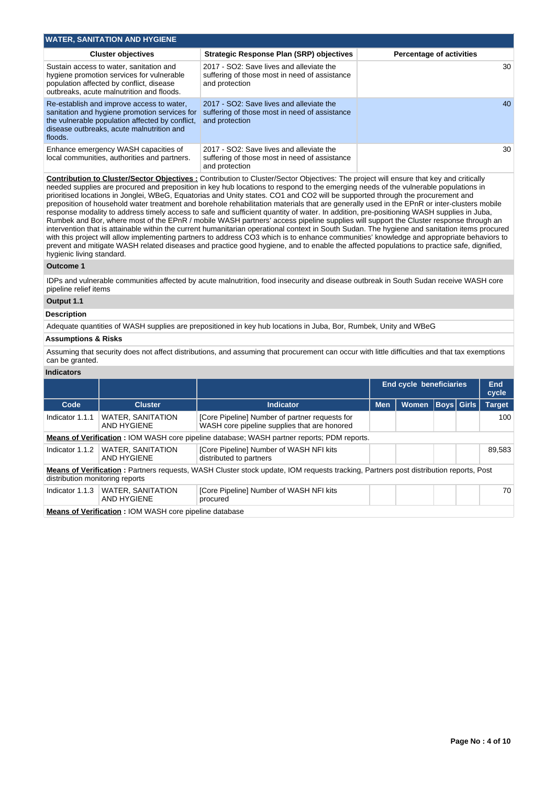| <b>WATER, SANITATION AND HYGIENE</b>                                                                                                                                                                  |                                                                                                             |                                 |  |  |  |  |  |  |  |  |  |  |
|-------------------------------------------------------------------------------------------------------------------------------------------------------------------------------------------------------|-------------------------------------------------------------------------------------------------------------|---------------------------------|--|--|--|--|--|--|--|--|--|--|
| <b>Cluster objectives</b>                                                                                                                                                                             | <b>Strategic Response Plan (SRP) objectives</b>                                                             | <b>Percentage of activities</b> |  |  |  |  |  |  |  |  |  |  |
| Sustain access to water, sanitation and<br>hygiene promotion services for vulnerable<br>population affected by conflict, disease<br>outbreaks, acute malnutrition and floods.                         | 2017 - SO2: Save lives and alleviate the<br>suffering of those most in need of assistance<br>and protection | 30                              |  |  |  |  |  |  |  |  |  |  |
| Re-establish and improve access to water,<br>sanitation and hygiene promotion services for<br>the vulnerable population affected by conflict.<br>disease outbreaks, acute malnutrition and<br>floods. | 2017 - SO2: Save lives and alleviate the<br>suffering of those most in need of assistance<br>and protection | 40                              |  |  |  |  |  |  |  |  |  |  |
| Enhance emergency WASH capacities of<br>local communities, authorities and partners.                                                                                                                  | 2017 - SO2: Save lives and alleviate the<br>suffering of those most in need of assistance<br>and protection | 30                              |  |  |  |  |  |  |  |  |  |  |

**Contribution to Cluster/Sector Objectives :** Contribution to Cluster/Sector Objectives: The project will ensure that key and critically needed supplies are procured and preposition in key hub locations to respond to the emerging needs of the vulnerable populations in prioritised locations in Jonglei, WBeG, Equatorias and Unity states. CO1 and CO2 will be supported through the procurement and preposition of household water treatment and borehole rehabilitation materials that are generally used in the EPnR or inter-clusters mobile response modality to address timely access to safe and sufficient quantity of water. In addition, pre-positioning WASH supplies in Juba, Rumbek and Bor, where most of the EPnR / mobile WASH partners' access pipeline supplies will support the Cluster response through an intervention that is attainable within the current humanitarian operational context in South Sudan. The hygiene and sanitation items procured with this project will allow implementing partners to address CO3 which is to enhance communities' knowledge and appropriate behaviors to prevent and mitigate WASH related diseases and practice good hygiene, and to enable the affected populations to practice safe, dignified, hygienic living standard.

#### **Outcome 1**

IDPs and vulnerable communities affected by acute malnutrition, food insecurity and disease outbreak in South Sudan receive WASH core pipeline relief items

# **Output 1.1**

## **Description**

Adequate quantities of WASH supplies are prepositioned in key hub locations in Juba, Bor, Rumbek, Unity and WBeG

### **Assumptions & Risks**

Assuming that security does not affect distributions, and assuming that procurement can occur with little difficulties and that tax exemptions can be granted.

### **Indicators**

|                                                                                                                                                                         |                                                               |                                                                                                |            | <b>End cycle beneficiaries</b> |              |  | <b>End</b><br>cycle |                   |               |  |  |  |
|-------------------------------------------------------------------------------------------------------------------------------------------------------------------------|---------------------------------------------------------------|------------------------------------------------------------------------------------------------|------------|--------------------------------|--------------|--|---------------------|-------------------|---------------|--|--|--|
| Code                                                                                                                                                                    | <b>Cluster</b><br>Indicator                                   |                                                                                                | <b>Men</b> |                                | <b>Women</b> |  |                     | <b>Boys</b> Girls | <b>Target</b> |  |  |  |
| Indicator 1.1.1                                                                                                                                                         | <b>WATER, SANITATION</b><br><b>AND HYGIENE</b>                | [Core Pipeline] Number of partner requests for<br>WASH core pipeline supplies that are honored |            |                                |              |  | 100                 |                   |               |  |  |  |
| <b>Means of Verification: IOM WASH core pipeline database: WASH partner reports: PDM reports.</b>                                                                       |                                                               |                                                                                                |            |                                |              |  |                     |                   |               |  |  |  |
| Indicator 1.1.2                                                                                                                                                         | <b>WATER, SANITATION</b><br>AND HYGIENE                       | [Core Pipeline] Number of WASH NFI kits<br>distributed to partners                             |            |                                |              |  | 89,583              |                   |               |  |  |  |
| Means of Verification: Partners requests, WASH Cluster stock update, IOM requests tracking, Partners post distribution reports, Post<br>distribution monitoring reports |                                                               |                                                                                                |            |                                |              |  |                     |                   |               |  |  |  |
| Indicator 1.1.3                                                                                                                                                         | <b>WATER, SANITATION</b><br><b>AND HYGIENE</b>                | [Core Pipeline] Number of WASH NFI kits<br>procured                                            |            |                                |              |  | 70                  |                   |               |  |  |  |
|                                                                                                                                                                         | <b>Means of Verification: IOM WASH core pipeline database</b> |                                                                                                |            |                                |              |  |                     |                   |               |  |  |  |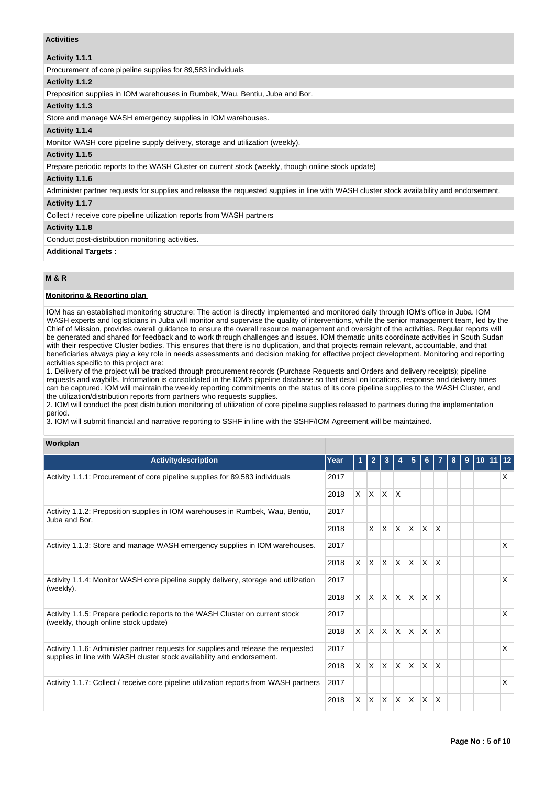# **Activities**

### **Activity 1.1.1**

Procurement of core pipeline supplies for 89,583 individuals

#### **Activity 1.1.2**

Preposition supplies in IOM warehouses in Rumbek, Wau, Bentiu, Juba and Bor.

### **Activity 1.1.3**

Store and manage WASH emergency supplies in IOM warehouses.

## **Activity 1.1.4**

Monitor WASH core pipeline supply delivery, storage and utilization (weekly).

## **Activity 1.1.5**

Prepare periodic reports to the WASH Cluster on current stock (weekly, though online stock update)

## **Activity 1.1.6**

Administer partner requests for supplies and release the requested supplies in line with WASH cluster stock availability and endorsement.

# **Activity 1.1.7**

Collect / receive core pipeline utilization reports from WASH partners

### **Activity 1.1.8**

Conduct post-distribution monitoring activities.

# **Additional Targets :**

# **M & R**

## **Monitoring & Reporting plan**

IOM has an established monitoring structure: The action is directly implemented and monitored daily through IOM's office in Juba. IOM WASH experts and logisticians in Juba will monitor and supervise the quality of interventions, while the senior management team, led by the Chief of Mission, provides overall guidance to ensure the overall resource management and oversight of the activities. Regular reports will be generated and shared for feedback and to work through challenges and issues. IOM thematic units coordinate activities in South Sudan with their respective Cluster bodies. This ensures that there is no duplication, and that projects remain relevant, accountable, and that beneficiaries always play a key role in needs assessments and decision making for effective project development. Monitoring and reporting activities specific to this project are:

1. Delivery of the project will be tracked through procurement records (Purchase Requests and Orders and delivery receipts); pipeline requests and waybills. Information is consolidated in the IOM's pipeline database so that detail on locations, response and delivery times can be captured. IOM will maintain the weekly reporting commitments on the status of its core pipeline supplies to the WASH Cluster, and the utilization/distribution reports from partners who requests supplies.

2. IOM will conduct the post distribution monitoring of utilization of core pipeline supplies released to partners during the implementation period.

3. IOM will submit financial and narrative reporting to SSHF in line with the SSHF/IOM Agreement will be maintained.

# **Workplan**

| Activitydescription                                                                                                                                          | Year |          | $\overline{2}$ | 3            |              | 5                       | 6.                      |              | 8 | 9 | 10 11 12 |   |
|--------------------------------------------------------------------------------------------------------------------------------------------------------------|------|----------|----------------|--------------|--------------|-------------------------|-------------------------|--------------|---|---|----------|---|
| Activity 1.1.1: Procurement of core pipeline supplies for 89,583 individuals                                                                                 | 2017 |          |                |              |              |                         |                         |              |   |   |          | X |
|                                                                                                                                                              | 2018 | X.       | $\mathsf{X}$   | $\mathsf{X}$ | $\mathsf{X}$ |                         |                         |              |   |   |          |   |
| Activity 1.1.2: Preposition supplies in IOM warehouses in Rumbek, Wau, Bentiu,<br>Juba and Bor.                                                              | 2017 |          |                |              |              |                         |                         |              |   |   |          |   |
|                                                                                                                                                              | 2018 |          | $\times$       | ΙX.          | $\mathsf{X}$ | <sup>X</sup>            | $\overline{\mathsf{x}}$ | ΙX           |   |   |          |   |
| Activity 1.1.3: Store and manage WASH emergency supplies in IOM warehouses.                                                                                  | 2017 |          |                |              |              |                         |                         |              |   |   |          | X |
|                                                                                                                                                              |      | <b>X</b> | $\mathsf{X}$   | $\mathsf{X}$ | $\mathsf{X}$ | <b>X</b>                | $\mathsf{X}$            | ΙX.          |   |   |          |   |
| Activity 1.1.4: Monitor WASH core pipeline supply delivery, storage and utilization                                                                          | 2017 |          |                |              |              |                         |                         |              |   |   |          | X |
| (weekly).                                                                                                                                                    | 2018 | X        | X.             | ΙX.          | ΙX.          | $\overline{\mathsf{x}}$ | $\times$                | $\mathsf{X}$ |   |   |          |   |
| Activity 1.1.5: Prepare periodic reports to the WASH Cluster on current stock<br>(weekly, though online stock update)                                        | 2017 |          |                |              |              |                         |                         |              |   |   |          | X |
|                                                                                                                                                              | 2018 | X.       | $\mathsf{X}$   | IX.          | $\mathsf{X}$ | <b>X</b>                | X                       | ΙX           |   |   |          |   |
| Activity 1.1.6: Administer partner requests for supplies and release the requested<br>supplies in line with WASH cluster stock availability and endorsement. | 2017 |          |                |              |              |                         |                         |              |   |   |          | X |
|                                                                                                                                                              | 2018 | $\times$ | Ιx.            | lx.          | $\mathsf{X}$ | $\mathsf{x}$            | $\mathsf{x}$            | <sup>X</sup> |   |   |          |   |
| Activity 1.1.7: Collect / receive core pipeline utilization reports from WASH partners                                                                       | 2017 |          |                |              |              |                         |                         |              |   |   |          | X |
|                                                                                                                                                              | 2018 | X.       | IX.            | IX.          | $\mathsf{X}$ | X                       | X                       | ΙX           |   |   |          |   |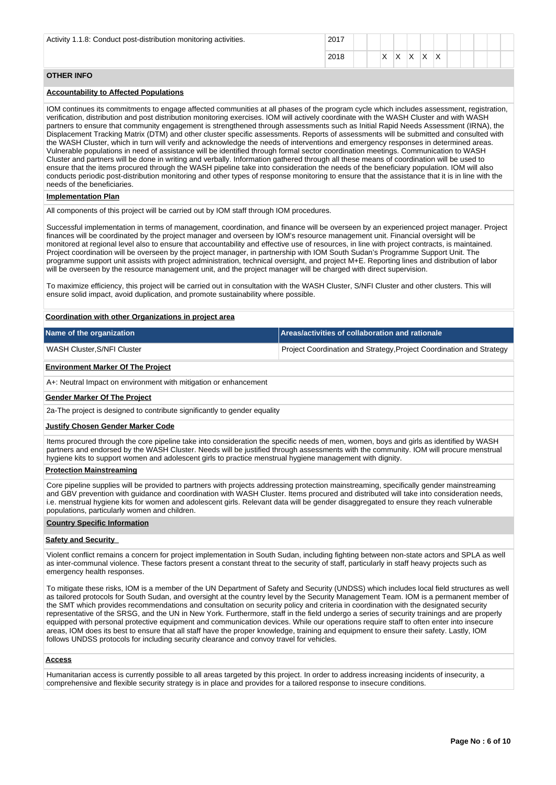| Activity 1.1.8: Conduct post-distribution monitoring activities. | 2017 |  |                          |           |                           |        |  |  |  |
|------------------------------------------------------------------|------|--|--------------------------|-----------|---------------------------|--------|--|--|--|
|                                                                  | 2018 |  | $\overline{\phantom{a}}$ | $\sqrt{}$ | $\ddot{\phantom{1}}$<br>↗ | $\sim$ |  |  |  |

## **OTHER INFO**

# **Accountability to Affected Populations**

IOM continues its commitments to engage affected communities at all phases of the program cycle which includes assessment, registration, verification, distribution and post distribution monitoring exercises. IOM will actively coordinate with the WASH Cluster and with WASH partners to ensure that community engagement is strengthened through assessments such as Initial Rapid Needs Assessment (IRNA), the Displacement Tracking Matrix (DTM) and other cluster specific assessments. Reports of assessments will be submitted and consulted with the WASH Cluster, which in turn will verify and acknowledge the needs of interventions and emergency responses in determined areas. Vulnerable populations in need of assistance will be identified through formal sector coordination meetings. Communication to WASH Cluster and partners will be done in writing and verbally. Information gathered through all these means of coordination will be used to ensure that the items procured through the WASH pipeline take into consideration the needs of the beneficiary population. IOM will also conducts periodic post-distribution monitoring and other types of response monitoring to ensure that the assistance that it is in line with the needs of the beneficiaries.

#### **Implementation Plan**

All components of this project will be carried out by IOM staff through IOM procedures.

Successful implementation in terms of management, coordination, and finance will be overseen by an experienced project manager. Project finances will be coordinated by the project manager and overseen by IOM's resource management unit. Financial oversight will be monitored at regional level also to ensure that accountability and effective use of resources, in line with project contracts, is maintained. Project coordination will be overseen by the project manager, in partnership with IOM South Sudan's Programme Support Unit. The programme support unit assists with project administration, technical oversight, and project M+E. Reporting lines and distribution of labor will be overseen by the resource management unit, and the project manager will be charged with direct supervision.

To maximize efficiency, this project will be carried out in consultation with the WASH Cluster, S/NFI Cluster and other clusters. This will ensure solid impact, avoid duplication, and promote sustainability where possible.

#### **Coordination with other Organizations in project area**

| Name of the organization    | Areas/activities of collaboration and rationale                      |
|-----------------------------|----------------------------------------------------------------------|
| WASH Cluster, S/NFI Cluster | Project Coordination and Strategy, Project Coordination and Strategy |

#### **Environment Marker Of The Project**

A+: Neutral Impact on environment with mitigation or enhancement

#### **Gender Marker Of The Project**

2a-The project is designed to contribute significantly to gender equality

#### **Justify Chosen Gender Marker Code**

Items procured through the core pipeline take into consideration the specific needs of men, women, boys and girls as identified by WASH partners and endorsed by the WASH Cluster. Needs will be justified through assessments with the community. IOM will procure menstrual hygiene kits to support women and adolescent girls to practice menstrual hygiene management with dignity.

### **Protection Mainstreaming**

Core pipeline supplies will be provided to partners with projects addressing protection mainstreaming, specifically gender mainstreaming and GBV prevention with guidance and coordination with WASH Cluster. Items procured and distributed will take into consideration needs, i.e. menstrual hygiene kits for women and adolescent girls. Relevant data will be gender disaggregated to ensure they reach vulnerable populations, particularly women and children.

#### **Country Specific Information**

# **Safety and Security**

Violent conflict remains a concern for project implementation in South Sudan, including fighting between non-state actors and SPLA as well as inter-communal violence. These factors present a constant threat to the security of staff, particularly in staff heavy projects such as emergency health responses.

To mitigate these risks, IOM is a member of the UN Department of Safety and Security (UNDSS) which includes local field structures as well as tailored protocols for South Sudan, and oversight at the country level by the Security Management Team. IOM is a permanent member of the SMT which provides recommendations and consultation on security policy and criteria in coordination with the designated security representative of the SRSG, and the UN in New York. Furthermore, staff in the field undergo a series of security trainings and are properly equipped with personal protective equipment and communication devices. While our operations require staff to often enter into insecure areas, IOM does its best to ensure that all staff have the proper knowledge, training and equipment to ensure their safety. Lastly, IOM follows UNDSS protocols for including security clearance and convoy travel for vehicles.

#### **Access**

Humanitarian access is currently possible to all areas targeted by this project. In order to address increasing incidents of insecurity, a comprehensive and flexible security strategy is in place and provides for a tailored response to insecure conditions.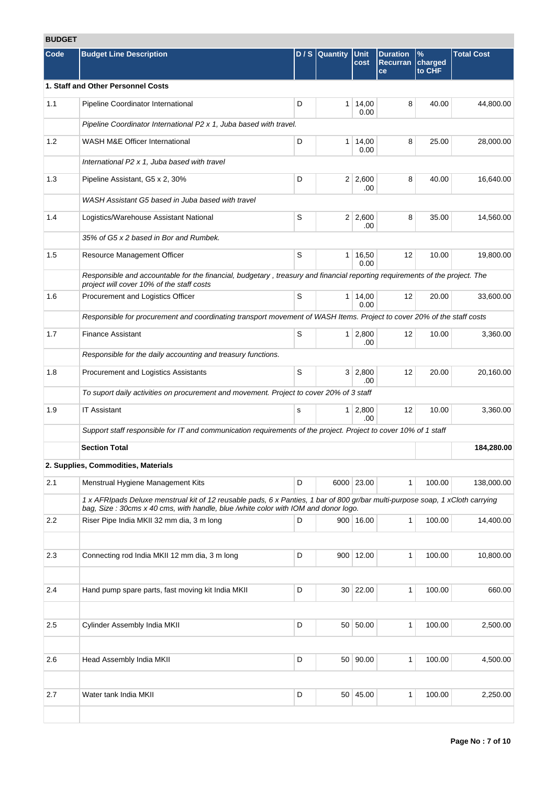# **BUDGET**

| Code | <b>Budget Line Description</b>                                                                                                                                                                                       |             | $D/S$ Quantity | <b>Unit</b>            | <b>Duration</b>       | $\%$              | <b>Total Cost</b> |
|------|----------------------------------------------------------------------------------------------------------------------------------------------------------------------------------------------------------------------|-------------|----------------|------------------------|-----------------------|-------------------|-------------------|
|      |                                                                                                                                                                                                                      |             |                | cost                   | <b>Recurran</b><br>ce | charged<br>to CHF |                   |
|      | 1. Staff and Other Personnel Costs                                                                                                                                                                                   |             |                |                        |                       |                   |                   |
| 1.1  | Pipeline Coordinator International                                                                                                                                                                                   | D           |                | $1 \mid 14,00$<br>0.00 | 8                     | 40.00             | 44,800.00         |
|      | Pipeline Coordinator International P2 x 1, Juba based with travel.                                                                                                                                                   |             |                |                        |                       |                   |                   |
| 1.2  | WASH M&E Officer International                                                                                                                                                                                       | D           |                | 1 14,00<br>0.00        | 8                     | 25.00             | 28,000.00         |
|      | International P2 x 1, Juba based with travel                                                                                                                                                                         |             |                |                        |                       |                   |                   |
| 1.3  | Pipeline Assistant, G5 x 2, 30%                                                                                                                                                                                      | D           |                | $2 \mid 2,600$<br>.00  | 8                     | 40.00             | 16,640.00         |
|      | WASH Assistant G5 based in Juba based with travel                                                                                                                                                                    |             |                |                        |                       |                   |                   |
| 1.4  | Logistics/Warehouse Assistant National                                                                                                                                                                               | S           |                | $2 \mid 2,600$<br>.00  | 8                     | 35.00             | 14,560.00         |
|      | 35% of G5 x 2 based in Bor and Rumbek.                                                                                                                                                                               |             |                |                        |                       |                   |                   |
| 1.5  | Resource Management Officer                                                                                                                                                                                          | S           |                | $1 \mid 16,50$<br>0.00 | 12                    | 10.00             | 19,800.00         |
|      | Responsible and accountable for the financial, budgetary, treasury and financial reporting requirements of the project. The<br>project will cover 10% of the staff costs                                             |             |                |                        |                       |                   |                   |
| 1.6  | Procurement and Logistics Officer                                                                                                                                                                                    | S           |                | 1 14,00<br>0.00        | 12                    | 20.00             | 33,600.00         |
|      | Responsible for procurement and coordinating transport movement of WASH Items. Project to cover 20% of the staff costs                                                                                               |             |                |                        |                       |                   |                   |
| 1.7  | <b>Finance Assistant</b>                                                                                                                                                                                             | $\mathbb S$ |                | $1 \mid 2,800$<br>.00  | 12                    | 10.00             | 3,360.00          |
|      | Responsible for the daily accounting and treasury functions.                                                                                                                                                         |             |                |                        |                       |                   |                   |
| 1.8  | Procurement and Logistics Assistants                                                                                                                                                                                 | S           |                | 3 2,800<br>.00         | 12                    | 20.00             | 20,160.00         |
|      | To suport daily activities on procurement and movement. Project to cover 20% of 3 staff                                                                                                                              |             |                |                        |                       |                   |                   |
| 1.9  | <b>IT Assistant</b>                                                                                                                                                                                                  | s           |                | $1 \ 2,800$<br>.00     | 12                    | 10.00             | 3,360.00          |
|      | Support staff responsible for IT and communication requirements of the project. Project to cover 10% of 1 staff                                                                                                      |             |                |                        |                       |                   |                   |
|      | <b>Section Total</b>                                                                                                                                                                                                 |             |                |                        |                       |                   | 184,280.00        |
|      | 2. Supplies, Commodities, Materials                                                                                                                                                                                  |             |                |                        |                       |                   |                   |
| 2.1  | Menstrual Hygiene Management Kits                                                                                                                                                                                    | D           |                | 6000 23.00             | $\mathbf{1}$          | 100.00            | 138,000.00        |
|      | 1 x AFRIpads Deluxe menstrual kit of 12 reusable pads, 6 x Panties, 1 bar of 800 gr/bar multi-purpose soap, 1 xCloth carrying<br>bag, Size : 30cms x 40 cms, with handle, blue /white color with IOM and donor logo. |             |                |                        |                       |                   |                   |
| 2.2  | Riser Pipe India MKII 32 mm dia, 3 m long                                                                                                                                                                            | D           |                | 900 16.00              | $\mathbf{1}$          | 100.00            | 14,400.00         |
|      |                                                                                                                                                                                                                      |             |                |                        |                       |                   |                   |
| 2.3  | Connecting rod India MKII 12 mm dia, 3 m long                                                                                                                                                                        | D           |                | 900 12.00              | $\mathbf{1}$          | 100.00            | 10,800.00         |
| 2.4  | Hand pump spare parts, fast moving kit India MKII                                                                                                                                                                    | D           |                | 30   22.00             | $\mathbf{1}$          | 100.00            | 660.00            |
|      |                                                                                                                                                                                                                      |             |                |                        |                       |                   |                   |
| 2.5  | Cylinder Assembly India MKII                                                                                                                                                                                         | D           |                | 50 50.00               | $\mathbf{1}$          | 100.00            | 2,500.00          |
| 2.6  | Head Assembly India MKII                                                                                                                                                                                             | D           |                | 50 90.00               | $\mathbf{1}$          | 100.00            | 4,500.00          |
|      |                                                                                                                                                                                                                      |             |                |                        |                       |                   |                   |
| 2.7  | Water tank India MKII                                                                                                                                                                                                | D           |                | 50 45.00               | $\mathbf{1}$          | 100.00            | 2,250.00          |
|      |                                                                                                                                                                                                                      |             |                |                        |                       |                   |                   |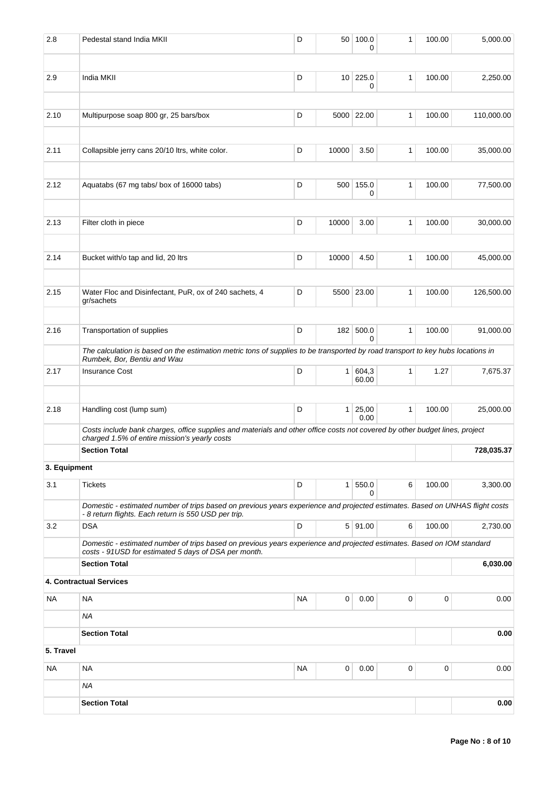| 2.8          | Pedestal stand India MKII                                                                                                                                                            | D         | 50             | 100.0<br>0     | 1            | 100.00 | 5,000.00   |
|--------------|--------------------------------------------------------------------------------------------------------------------------------------------------------------------------------------|-----------|----------------|----------------|--------------|--------|------------|
| 2.9          | India MKII                                                                                                                                                                           | D         |                | 10 225.0       | 1            | 100.00 | 2,250.00   |
|              |                                                                                                                                                                                      |           |                | 0              |              |        |            |
| 2.10         | Multipurpose soap 800 gr, 25 bars/box                                                                                                                                                | D         |                | 5000 22.00     | 1            | 100.00 | 110,000.00 |
| 2.11         | Collapsible jerry cans 20/10 ltrs, white color.                                                                                                                                      | D         | 10000          | 3.50           | 1            | 100.00 | 35,000.00  |
|              |                                                                                                                                                                                      |           |                |                |              |        |            |
| 2.12         | Aquatabs (67 mg tabs/ box of 16000 tabs)                                                                                                                                             | D         | 500            | 155.0<br>0     | 1            | 100.00 | 77,500.00  |
| 2.13         | Filter cloth in piece                                                                                                                                                                | D         | 10000          | 3.00           | 1            | 100.00 | 30,000.00  |
| 2.14         | Bucket with/o tap and lid, 20 ltrs                                                                                                                                                   | D         | 10000          | 4.50           | $\mathbf{1}$ | 100.00 | 45,000.00  |
|              |                                                                                                                                                                                      |           |                |                |              |        |            |
| 2.15         | Water Floc and Disinfectant, PuR, ox of 240 sachets, 4<br>gr/sachets                                                                                                                 | D         |                | 5500 23.00     | 1            | 100.00 | 126,500.00 |
| 2.16         | Transportation of supplies                                                                                                                                                           | D         |                | 182 500.0<br>0 | $\mathbf{1}$ | 100.00 | 91,000.00  |
|              | The calculation is based on the estimation metric tons of supplies to be transported by road transport to key hubs locations in<br>Rumbek, Bor, Bentiu and Wau                       |           |                |                |              |        |            |
| 2.17         | <b>Insurance Cost</b>                                                                                                                                                                | D         | 1 <sup>1</sup> | 604,3<br>60.00 | 1            | 1.27   | 7,675.37   |
| 2.18         | Handling cost (lump sum)                                                                                                                                                             | D         | 1 <sup>1</sup> | 25,00<br>0.00  | 1            | 100.00 | 25,000.00  |
|              | Costs include bank charges, office supplies and materials and other office costs not covered by other budget lines, project<br>charged 1.5% of entire mission's yearly costs         |           |                |                |              |        |            |
|              | <b>Section Total</b>                                                                                                                                                                 |           |                |                |              |        | 728,035.37 |
| 3. Equipment |                                                                                                                                                                                      |           |                |                |              |        |            |
| 3.1          | <b>Tickets</b>                                                                                                                                                                       | D         | 1 <sup>1</sup> | 550.0<br>0     | 6            | 100.00 | 3,300.00   |
|              | Domestic - estimated number of trips based on previous years experience and projected estimates. Based on UNHAS flight costs<br>- 8 return flights. Each return is 550 USD per trip. |           |                |                |              |        |            |
| 3.2          | <b>DSA</b>                                                                                                                                                                           | D         |                | 5 91.00        | 6            | 100.00 | 2,730.00   |
|              | Domestic - estimated number of trips based on previous years experience and projected estimates. Based on IOM standard<br>costs - 91USD for estimated 5 days of DSA per month.       |           |                |                |              |        |            |
|              | <b>Section Total</b>                                                                                                                                                                 |           |                |                |              |        | 6,030.00   |
|              | 4. Contractual Services                                                                                                                                                              |           |                |                |              |        |            |
| NA           | <b>NA</b>                                                                                                                                                                            | <b>NA</b> | 0              | 0.00           | 0            | 0      | 0.00       |
|              | ΝA                                                                                                                                                                                   |           |                |                |              |        |            |
|              | <b>Section Total</b>                                                                                                                                                                 |           |                |                |              |        | 0.00       |
| 5. Travel    |                                                                                                                                                                                      |           |                |                |              |        |            |
| ΝA           | <b>NA</b>                                                                                                                                                                            | <b>NA</b> | 0              | 0.00           | 0            | 0      | 0.00       |
|              | ΝA                                                                                                                                                                                   |           |                |                |              |        |            |
|              | <b>Section Total</b>                                                                                                                                                                 |           |                |                |              |        | 0.00       |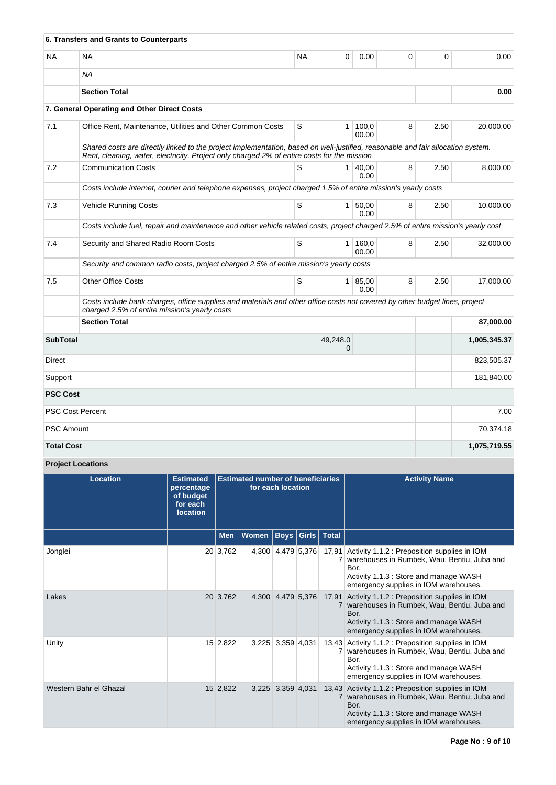|                   | 6. Transfers and Grants to Counterparts                                                                                                                                                                                        |           |                          |                       |   |      |              |  |  |  |  |  |
|-------------------|--------------------------------------------------------------------------------------------------------------------------------------------------------------------------------------------------------------------------------|-----------|--------------------------|-----------------------|---|------|--------------|--|--|--|--|--|
| <b>NA</b>         | <b>NA</b>                                                                                                                                                                                                                      | <b>NA</b> | 0                        | 0.00                  | 0 | 0    | 0.00         |  |  |  |  |  |
|                   | <b>NA</b>                                                                                                                                                                                                                      |           |                          |                       |   |      |              |  |  |  |  |  |
|                   | <b>Section Total</b>                                                                                                                                                                                                           |           |                          |                       |   |      | 0.00         |  |  |  |  |  |
|                   | 7. General Operating and Other Direct Costs                                                                                                                                                                                    |           |                          |                       |   |      |              |  |  |  |  |  |
| 7.1               | Office Rent, Maintenance, Utilities and Other Common Costs                                                                                                                                                                     | S         |                          | $1 \, 100,0$<br>00.00 | 8 | 2.50 | 20,000.00    |  |  |  |  |  |
|                   | Shared costs are directly linked to the project implementation, based on well-justified, reasonable and fair allocation system.<br>Rent, cleaning, water, electricity. Project only charged 2% of entire costs for the mission |           |                          |                       |   |      |              |  |  |  |  |  |
| 7.2               | <b>Communication Costs</b>                                                                                                                                                                                                     | S         | 1 <sup>1</sup>           | 40.00<br>0.00         | 8 | 2.50 | 8.000.00     |  |  |  |  |  |
|                   | Costs include internet, courier and telephone expenses, project charged 1.5% of entire mission's yearly costs                                                                                                                  |           |                          |                       |   |      |              |  |  |  |  |  |
| 7.3               | Vehicle Running Costs                                                                                                                                                                                                          | S         | 1 <sup>1</sup>           | 50,00<br>0.00         | 8 | 2.50 | 10,000.00    |  |  |  |  |  |
|                   | Costs include fuel, repair and maintenance and other vehicle related costs, project charged 2.5% of entire mission's yearly cost                                                                                               |           |                          |                       |   |      |              |  |  |  |  |  |
| 7.4               | Security and Shared Radio Room Costs                                                                                                                                                                                           | S         | 1 <sup>1</sup>           | 160,0<br>00.00        | 8 | 2.50 | 32,000.00    |  |  |  |  |  |
|                   | Security and common radio costs, project charged 2.5% of entire mission's yearly costs                                                                                                                                         |           |                          |                       |   |      |              |  |  |  |  |  |
| 7.5               | <b>Other Office Costs</b>                                                                                                                                                                                                      | S         |                          | 1   85,00<br>0.00     | 8 | 2.50 | 17.000.00    |  |  |  |  |  |
|                   | Costs include bank charges, office supplies and materials and other office costs not covered by other budget lines, project<br>charged 2.5% of entire mission's yearly costs                                                   |           |                          |                       |   |      |              |  |  |  |  |  |
|                   | <b>Section Total</b>                                                                                                                                                                                                           |           |                          |                       |   |      | 87,000.00    |  |  |  |  |  |
| <b>SubTotal</b>   |                                                                                                                                                                                                                                |           | 49,248.0<br>$\mathbf{0}$ |                       |   |      | 1,005,345.37 |  |  |  |  |  |
| Direct            |                                                                                                                                                                                                                                |           |                          |                       |   |      | 823,505.37   |  |  |  |  |  |
| Support           |                                                                                                                                                                                                                                |           |                          |                       |   |      | 181,840.00   |  |  |  |  |  |
| <b>PSC Cost</b>   |                                                                                                                                                                                                                                |           |                          |                       |   |      |              |  |  |  |  |  |
|                   | <b>PSC Cost Percent</b>                                                                                                                                                                                                        |           |                          |                       |   |      | 7.00         |  |  |  |  |  |
| <b>PSC Amount</b> |                                                                                                                                                                                                                                |           |                          |                       |   |      | 70,374.18    |  |  |  |  |  |
| <b>Total Cost</b> |                                                                                                                                                                                                                                |           |                          |                       |   |      | 1,075,719.55 |  |  |  |  |  |

# **Project Locations**

| Location               | <b>Estimated</b><br>percentage<br>of budget<br>for each<br><b>location</b> |            | <b>Estimated number of beneficiaries</b> | for each location |                   |              | <b>Activity Name</b>                                                                                                                                                                           |
|------------------------|----------------------------------------------------------------------------|------------|------------------------------------------|-------------------|-------------------|--------------|------------------------------------------------------------------------------------------------------------------------------------------------------------------------------------------------|
|                        |                                                                            | <b>Men</b> | <b>Women</b>                             |                   | <b>Boys Girls</b> | <b>Total</b> |                                                                                                                                                                                                |
| Jonglei                |                                                                            | 20 3,762   |                                          | 4,300 4,479 5,376 |                   | 7            | 17,91 Activity 1.1.2 : Preposition supplies in IOM<br>warehouses in Rumbek, Wau, Bentiu, Juba and<br>Bor.<br>Activity 1.1.3 : Store and manage WASH<br>emergency supplies in IOM warehouses.   |
| Lakes                  |                                                                            | 20 3,762   |                                          | 4,300 4,479 5,376 |                   |              | 17,91 Activity 1.1.2 : Preposition supplies in IOM<br>7 warehouses in Rumbek, Wau, Bentiu, Juba and<br>Bor.<br>Activity 1.1.3 : Store and manage WASH<br>emergency supplies in IOM warehouses. |
| Unity                  |                                                                            | 15 2,822   | 3.225                                    |                   | 3,359 4,031       |              | 13,43 Activity 1.1.2 : Preposition supplies in IOM<br>warehouses in Rumbek, Wau, Bentiu, Juba and<br>Bor.<br>Activity 1.1.3 : Store and manage WASH<br>emergency supplies in IOM warehouses.   |
| Western Bahr el Ghazal |                                                                            | 15 2,822   |                                          | 3,225 3,359 4,031 |                   |              | 13,43 Activity 1.1.2 : Preposition supplies in IOM<br>7 warehouses in Rumbek, Wau, Bentiu, Juba and<br>Bor.<br>Activity 1.1.3 : Store and manage WASH<br>emergency supplies in IOM warehouses. |